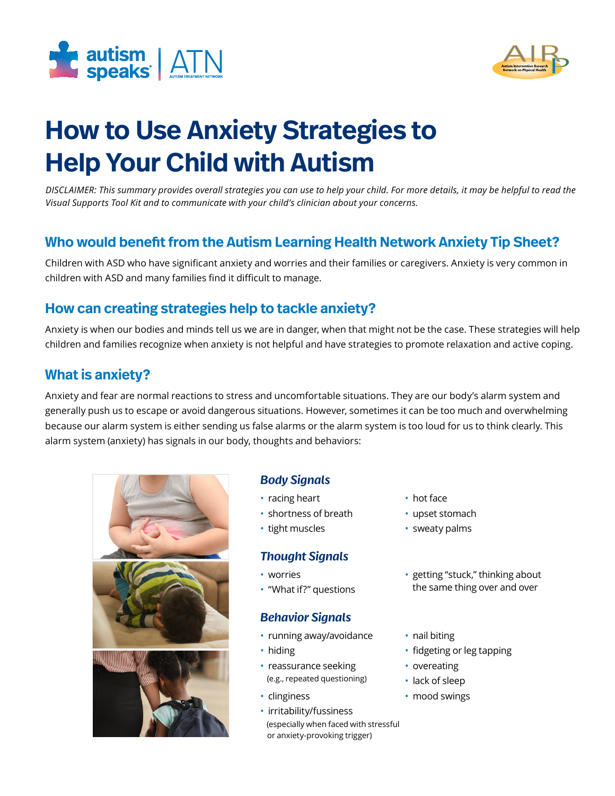



# **How to Use Anxiety Strategies to Help Your Child with Autism**

*DISCLAIMER: This summary provides overall strategies you can use to help your child. For more details, it may be helpful to read the Visual Supports Tool Kit and to communicate with your child's clinician about your concerns.*

# **Who would benefit from the Autism Learning Health Network Anxiety Tip Sheet?**

Children with ASD who have significant anxiety and worries and their families or caregivers. Anxiety is very common in children with ASD and many families find it difficult to manage.

# **How can creating strategies help to tackle anxiety?**

Anxiety is when our bodies and minds tell us we are in danger, when that might not be the case. These strategies will help children and families recognize when anxiety is not helpful and have strategies to promote relaxation and active coping.

## **What is anxiety?**

Anxiety and fear are normal reactions to stress and uncomfortable situations. They are our body's alarm system and generally push us to escape or avoid dangerous situations. However, sometimes it can be too much and overwhelming because our alarm system is either sending us false alarms or the alarm system is too loud for us to think clearly. This alarm system (anxiety) has signals in our body, thoughts and behaviors:



## *Body Signals*

- racing heart hot face
- shortness of breath upset stomach
- tight muscles sweaty palms

## *Thought Signals*

- 
- 

#### *Behavior Signals*

- running away/avoidance nail biting
- 
- reassurance seeking overeating (e.g., repeated questioning) • lack of sleep
- 
- irritability/fussiness (especially when faced with stressful or anxiety-provoking trigger)
- 
- 
- 
- worries setting "stuck," thinking about • "What if?" questions the same thing over and over
	-
- hiding **•** fidgeting or leg tapping
	-
	-
- clinginess mood swings
	-